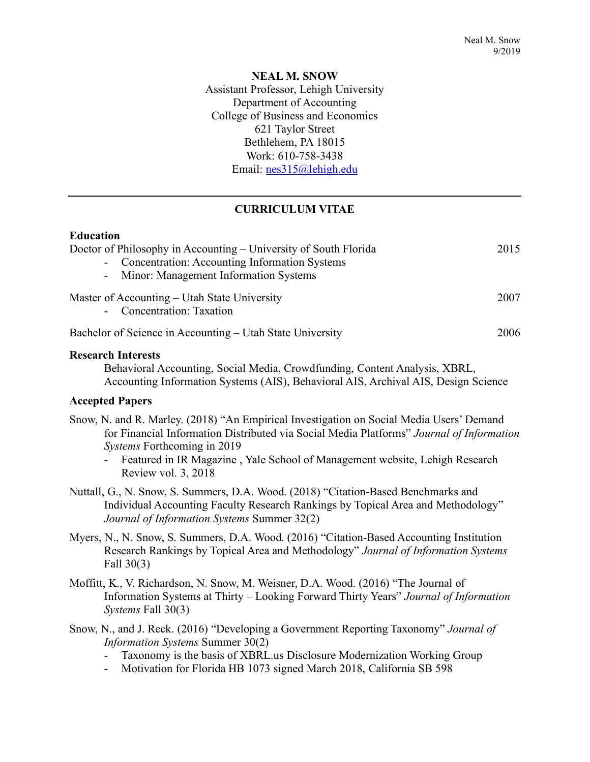# **NEAL M. SNOW** Assistant Professor, Lehigh University Department of Accounting College of Business and Economics 621 Taylor Street Bethlehem, PA 18015 Work: 610-758-3438 Email: nes315@lehigh.edu

# **CURRICULUM VITAE**

### **Education**

| Doctor of Philosophy in Accounting – University of South Florida          | 2015 |
|---------------------------------------------------------------------------|------|
| - Concentration: Accounting Information Systems                           |      |
| - Minor: Management Information Systems                                   |      |
| Master of Accounting – Utah State University<br>- Concentration: Taxation | 2007 |
| Bachelor of Science in Accounting – Utah State University                 | 2006 |

# **Research Interests**

Behavioral Accounting, Social Media, Crowdfunding, Content Analysis, XBRL, Accounting Information Systems (AIS), Behavioral AIS, Archival AIS, Design Science

### **Accepted Papers**

- Snow, N. and R. Marley. (2018) "An Empirical Investigation on Social Media Users' Demand for Financial Information Distributed via Social Media Platforms" *Journal of Information Systems* Forthcoming in 2019
	- Featured in IR Magazine , Yale School of Management website, Lehigh Research Review vol. 3, 2018
- Nuttall, G., N. Snow, S. Summers, D.A. Wood. (2018) "Citation-Based Benchmarks and Individual Accounting Faculty Research Rankings by Topical Area and Methodology" *Journal of Information Systems* Summer 32(2)
- Myers, N., N. Snow, S. Summers, D.A. Wood. (2016) "Citation-Based Accounting Institution Research Rankings by Topical Area and Methodology" *Journal of Information Systems* Fall 30(3)
- Moffitt, K., V. Richardson, N. Snow, M. Weisner, D.A. Wood. (2016) "The Journal of Information Systems at Thirty – Looking Forward Thirty Years" *Journal of Information Systems* Fall 30(3)
- Snow, N., and J. Reck. (2016) "Developing a Government Reporting Taxonomy" *Journal of Information Systems* Summer 30(2)
	- Taxonomy is the basis of XBRL.us Disclosure Modernization Working Group
	- Motivation for Florida HB 1073 signed March 2018, California SB 598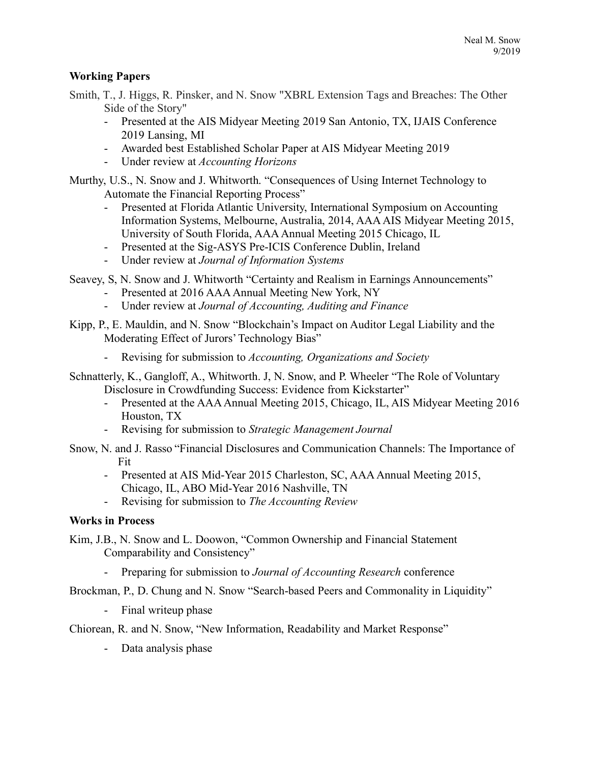# **Working Papers**

Smith, T., J. Higgs, R. Pinsker, and N. Snow "XBRL Extension Tags and Breaches: The Other Side of the Story"

- Presented at the AIS Midyear Meeting 2019 San Antonio, TX, IJAIS Conference 2019 Lansing, MI
- Awarded best Established Scholar Paper at AIS Midyear Meeting 2019
- Under review at *Accounting Horizons*

Murthy, U.S., N. Snow and J. Whitworth. "Consequences of Using Internet Technology to Automate the Financial Reporting Process"

- Presented at Florida Atlantic University, International Symposium on Accounting Information Systems, Melbourne, Australia, 2014, AAA AIS Midyear Meeting 2015, University of South Florida, AAA Annual Meeting 2015 Chicago, IL
- Presented at the Sig-ASYS Pre-ICIS Conference Dublin, Ireland
- Under review at *Journal of Information Systems*

Seavey, S, N. Snow and J. Whitworth "Certainty and Realism in Earnings Announcements"

- Presented at 2016 AAA Annual Meeting New York, NY
- Under review at *Journal of Accounting, Auditing and Finance*
- Kipp, P., E. Mauldin, and N. Snow "Blockchain's Impact on Auditor Legal Liability and the Moderating Effect of Jurors' Technology Bias"
	- Revising for submission to *Accounting, Organizations and Society*
- Schnatterly, K., Gangloff, A., Whitworth. J, N. Snow, and P. Wheeler "The Role of Voluntary Disclosure in Crowdfunding Success: Evidence from Kickstarter"
	- Presented at the AAA Annual Meeting 2015, Chicago, IL, AIS Midyear Meeting 2016 Houston, TX
	- Revising for submission to *Strategic Management Journal*
- Snow, N. and J. Rasso "Financial Disclosures and Communication Channels: The Importance of Fit
	- Presented at AIS Mid-Year 2015 Charleston, SC, AAA Annual Meeting 2015, Chicago, IL, ABO Mid-Year 2016 Nashville, TN
	- Revising for submission to *The Accounting Review*

### **Works in Process**

Kim, J.B., N. Snow and L. Doowon, "Common Ownership and Financial Statement Comparability and Consistency"

- Preparing for submission to *Journal of Accounting Research* conference

Brockman, P., D. Chung and N. Snow "Search-based Peers and Commonality in Liquidity"

- Final writeup phase

Chiorean, R. and N. Snow, "New Information, Readability and Market Response"

- Data analysis phase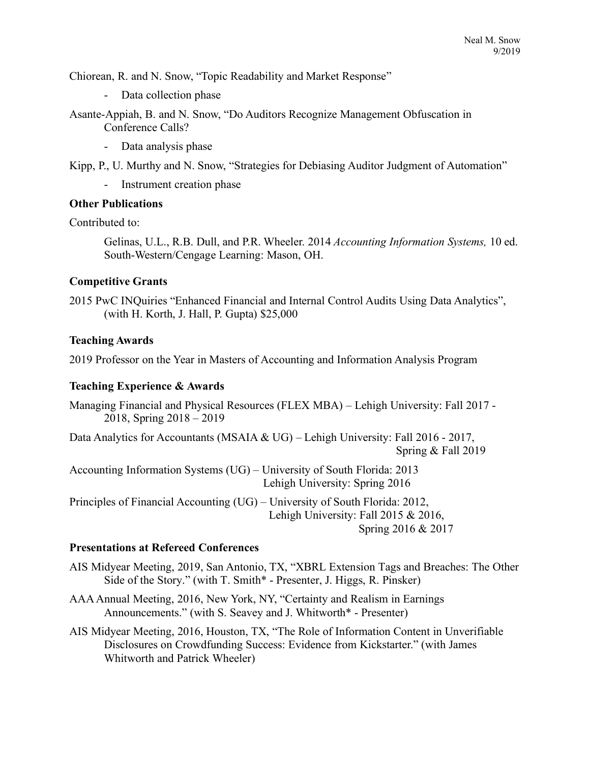Chiorean, R. and N. Snow, "Topic Readability and Market Response"

- Data collection phase

Asante-Appiah, B. and N. Snow, "Do Auditors Recognize Management Obfuscation in Conference Calls?

- Data analysis phase

Kipp, P., U. Murthy and N. Snow, "Strategies for Debiasing Auditor Judgment of Automation"

- Instrument creation phase

#### **Other Publications**

Contributed to:

Gelinas, U.L., R.B. Dull, and P.R. Wheeler. 2014 *Accounting Information Systems,* 10 ed. South-Western/Cengage Learning: Mason, OH.

#### **Competitive Grants**

2015 PwC INQuiries "Enhanced Financial and Internal Control Audits Using Data Analytics", (with H. Korth, J. Hall, P. Gupta) \$25,000

#### **Teaching Awards**

2019 Professor on the Year in Masters of Accounting and Information Analysis Program

#### **Teaching Experience & Awards**

Managing Financial and Physical Resources (FLEX MBA) – Lehigh University: Fall 2017 - 2018, Spring 2018 – 2019

Data Analytics for Accountants (MSAIA & UG) – Lehigh University: Fall 2016 - 2017, Spring & Fall 2019

Accounting Information Systems (UG) – University of South Florida: 2013 Lehigh University: Spring 2016

Principles of Financial Accounting (UG) – University of South Florida: 2012, Lehigh University: Fall 2015 & 2016, Spring 2016 & 2017

#### **Presentations at Refereed Conferences**

AIS Midyear Meeting, 2019, San Antonio, TX, "XBRL Extension Tags and Breaches: The Other Side of the Story." (with T. Smith\* - Presenter, J. Higgs, R. Pinsker)

- AAA Annual Meeting, 2016, New York, NY, "Certainty and Realism in Earnings Announcements." (with S. Seavey and J. Whitworth\* - Presenter)
- AIS Midyear Meeting, 2016, Houston, TX, "The Role of Information Content in Unverifiable Disclosures on Crowdfunding Success: Evidence from Kickstarter." (with James Whitworth and Patrick Wheeler)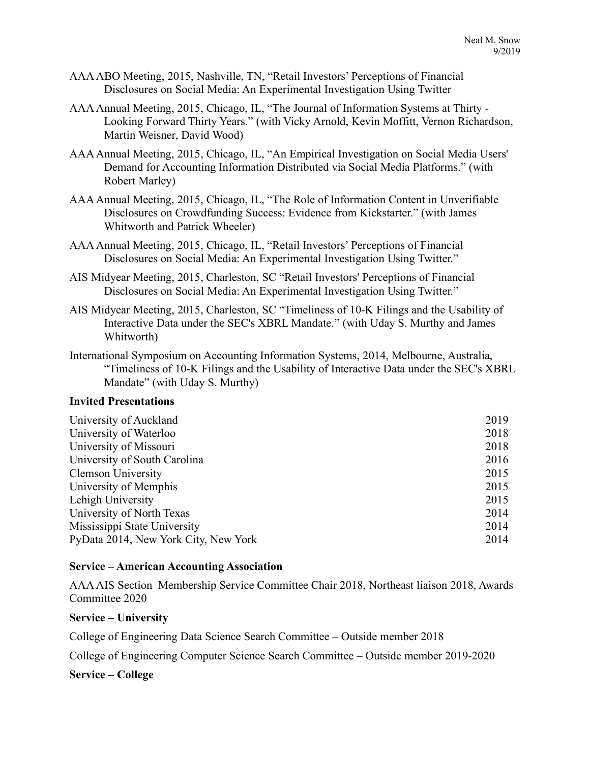- AAA ABO Meeting, 2015, Nashville, TN, "Retail Investors' Perceptions of Financial Disclosures on Social Media: An Experimental Investigation Using Twitter
- AAA Annual Meeting, 2015, Chicago, IL, "The Journal of Information Systems at Thirty Looking Forward Thirty Years." (with Vicky Arnold, Kevin Moffitt, Vernon Richardson, Martin Weisner, David Wood)
- AAA Annual Meeting, 2015, Chicago, IL, "An Empirical Investigation on Social Media Users' Demand for Accounting Information Distributed via Social Media Platforms." (with Robert Marley)
- AAA Annual Meeting, 2015, Chicago, IL, "The Role of Information Content in Unverifiable Disclosures on Crowdfunding Success: Evidence from Kickstarter." (with James Whitworth and Patrick Wheeler)
- AAA Annual Meeting, 2015, Chicago, IL, "Retail Investors' Perceptions of Financial Disclosures on Social Media: An Experimental Investigation Using Twitter."
- AIS Midyear Meeting, 2015, Charleston, SC "Retail Investors' Perceptions of Financial Disclosures on Social Media: An Experimental Investigation Using Twitter."
- AIS Midyear Meeting, 2015, Charleston, SC "Timeliness of 10-K Filings and the Usability of Interactive Data under the SEC's XBRL Mandate." (with Uday S. Murthy and James Whitworth)
- International Symposium on Accounting Information Systems, 2014, Melbourne, Australia, "Timeliness of 10-K Filings and the Usability of Interactive Data under the SEC's XBRL Mandate" (with Uday S. Murthy)

### **Invited Presentations**

| University of Auckland               | 2019 |
|--------------------------------------|------|
| University of Waterloo               | 2018 |
| University of Missouri               | 2018 |
| University of South Carolina         | 2016 |
| <b>Clemson University</b>            | 2015 |
| University of Memphis                | 2015 |
| Lehigh University                    | 2015 |
| University of North Texas            | 2014 |
| Mississippi State University         | 2014 |
| PyData 2014, New York City, New York | 2014 |
|                                      |      |

### **Service – American Accounting Association**

AAA AIS Section Membership Service Committee Chair 2018, Northeast liaison 2018, Awards Committee 2020

### **Service – University**

College of Engineering Data Science Search Committee – Outside member 2018

College of Engineering Computer Science Search Committee – Outside member 2019-2020

**Service – College**